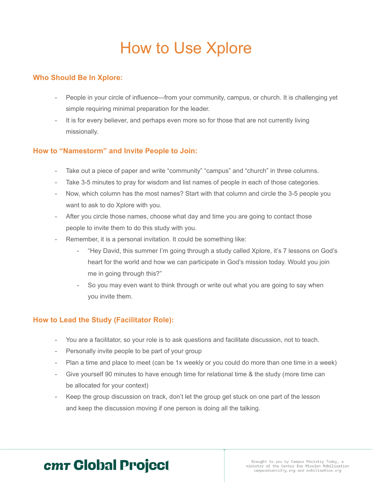# How to Use Xplore

### **Who Should Be In Xplore:**

- People in your circle of influence—from your community, campus, or church. It is challenging yet simple requiring minimal preparation for the leader.
- It is for every believer, and perhaps even more so for those that are not currently living missionally.

### **How to "Namestorm" and Invite People to Join:**

- Take out a piece of paper and write "community" "campus" and "church" in three columns.
- Take 3-5 minutes to pray for wisdom and list names of people in each of those categories.
- Now, which column has the most names? Start with that column and circle the 3-5 people you want to ask to do Xplore with you.
- After you circle those names, choose what day and time you are going to contact those people to invite them to do this study with you.
- Remember, it is a personal invitation. It could be something like:
	- "Hey David, this summer I'm going through a study called Xplore, it's 7 lessons on God's heart for the world and how we can participate in God's mission today. Would you join me in going through this?"
	- So you may even want to think through or write out what you are going to say when you invite them.

### **How to Lead the Study (Facilitator Role):**

- You are a facilitator, so your role is to ask questions and facilitate discussion, not to teach.
- Personally invite people to be part of your group
- Plan a time and place to meet (can be 1x weekly or you could do more than one time in a week)
- Give yourself 90 minutes to have enough time for relational time & the study (more time can be allocated for your context)
- Keep the group discussion on track, don't let the group get stuck on one part of the lesson and keep the discussion moving if one person is doing all the talking.

## cm Global Project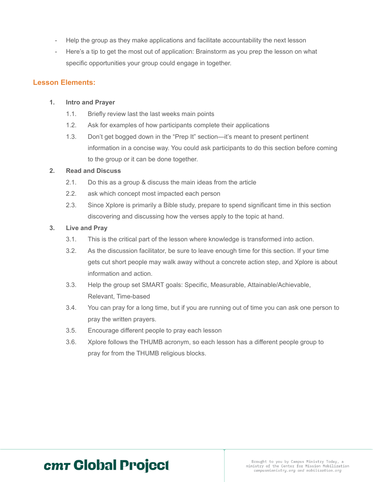- Help the group as they make applications and facilitate accountability the next lesson
- Here's a tip to get the most out of application: Brainstorm as you prep the lesson on what specific opportunities your group could engage in together.

#### **Lesson Elements:**

#### **1. Intro and Prayer**

- 1.1. Briefly review last the last weeks main points
- 1.2. Ask for examples of how participants complete their applications
- 1.3. Don't get bogged down in the "Prep It" section—it's meant to present pertinent information in a concise way. You could ask participants to do this section before coming to the group or it can be done together.

#### **2. Read and Discuss**

- 2.1. Do this as a group & discuss the main ideas from the article
- 2.2. ask which concept most impacted each person
- 2.3. Since Xplore is primarily a Bible study, prepare to spend significant time in this section discovering and discussing how the verses apply to the topic at hand.

#### **3. Live and Pray**

- 3.1. This is the critical part of the lesson where knowledge is transformed into action.
- 3.2. As the discussion facilitator, be sure to leave enough time for this section. If your time gets cut short people may walk away without a concrete action step, and Xplore is about information and action.
- 3.3. Help the group set SMART goals: Specific, Measurable, Attainable/Achievable, Relevant, Time-based
- 3.4. You can pray for a long time, but if you are running out of time you can ask one person to pray the written prayers.
- 3.5. Encourage different people to pray each lesson
- 3.6. Xplore follows the THUMB acronym, so each lesson has a different people group to pray for from the THUMB religious blocks.

## cmr Global Project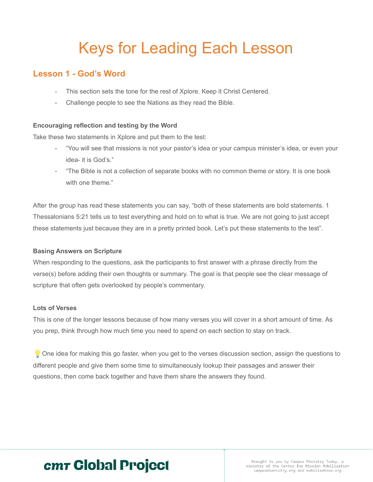# Keys for Leading Each Lesson

### **Lesson 1 - God's Word**

- This section sets the tone for the rest of Xplore. Keep it Christ Centered.
- Challenge people to see the Nations as they read the Bible.

#### **Encouraging reflection and testing by the Word**

Take these two statements in Xplore and put them to the test:

- "You will see that missions is not your pastor's idea or your campus minister's idea, or even your idea- it is God's."
- "The Bible is not a collection of separate books with no common theme or story. It is one book with one theme."

After the group has read these statements you can say, "both of these statements are bold statements. 1 Thessalonians 5:21 tells us to test everything and hold on to what is true. We are not going to just accept these statements just because they are in a pretty printed book. Let's put these statements to the test".

#### **Basing Answers on Scripture**

When responding to the questions, ask the participants to first answer with a phrase directly from the verse(s) before adding their own thoughts or summary. The goal is that people see the clear message of scripture that often gets overlooked by people's commentary.

#### **Lots of Verses**

This is one of the longer lessons because of how many verses you will cover in a short amount of time. As you prep, think through how much time you need to spend on each section to stay on track.

 $\bullet$  One idea for making this go faster, when you get to the verses discussion section, assign the questions to different people and give them some time to simultaneously lookup their passages and answer their questions, then come back together and have them share the answers they found.

## cmr Global Project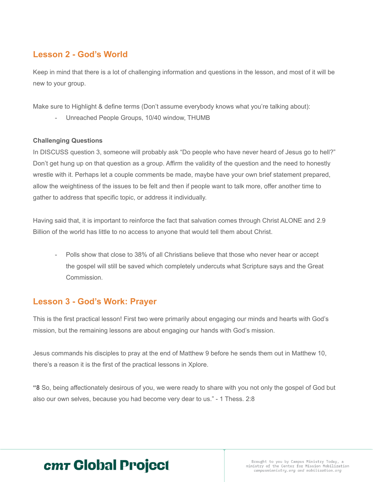### **Lesson 2 - God's World**

Keep in mind that there is a lot of challenging information and questions in the lesson, and most of it will be new to your group.

Make sure to Highlight & define terms (Don't assume everybody knows what you're talking about):

Unreached People Groups, 10/40 window, THUMB

#### **Challenging Questions**

In DISCUSS question 3, someone will probably ask "Do people who have never heard of Jesus go to hell?" Don't get hung up on that question as a group. Affirm the validity of the question and the need to honestly wrestle with it. Perhaps let a couple comments be made, maybe have your own brief statement prepared, allow the weightiness of the issues to be felt and then if people want to talk more, offer another time to gather to address that specific topic, or address it individually.

Having said that, it is important to reinforce the fact that salvation comes through Christ ALONE and 2.9 Billion of the world has little to no access to anyone that would tell them about Christ.

Polls show that close to 38% of all Christians believe that those who never hear or accept the gospel will still be saved which completely undercuts what Scripture says and the Great Commission.

### **Lesson 3 - God's Work: Prayer**

This is the first practical lesson! First two were primarily about engaging our minds and hearts with God's mission, but the remaining lessons are about engaging our hands with God's mission.

Jesus commands his disciples to pray at the end of Matthew 9 before he sends them out in Matthew 10, there's a reason it is the first of the practical lessons in Xplore.

**"8** So, being affectionately desirous of you, we were ready to share with you not only the gospel of God but also our own selves, because you had become very dear to us." - 1 Thess. 2:8

## cmr Global Project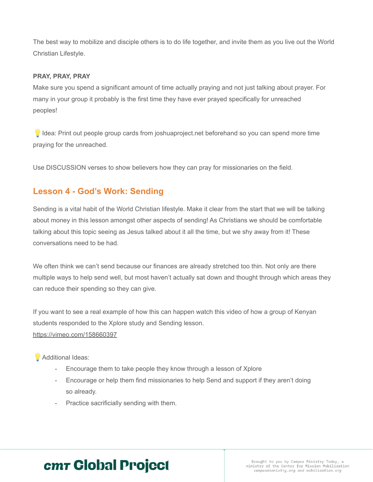The best way to mobilize and disciple others is to do life together, and invite them as you live out the World Christian Lifestyle.

#### **PRAY, PRAY, PRAY**

Make sure you spend a significant amount of time actually praying and not just talking about prayer. For many in your group it probably is the first time they have ever prayed specifically for unreached peoples!

I Idea: Print out people group cards from joshuaproject.net beforehand so you can spend more time praying for the unreached.

Use DISCUSSION verses to show believers how they can pray for missionaries on the field.

## **Lesson 4 - God's Work: Sending**

Sending is a vital habit of the World Christian lifestyle. Make it clear from the start that we will be talking about money in this lesson amongst other aspects of sending! As Christians we should be comfortable talking about this topic seeing as Jesus talked about it all the time, but we shy away from it! These conversations need to be had.

We often think we can't send because our finances are already stretched too thin. Not only are there multiple ways to help send well, but most haven't actually sat down and thought through which areas they can reduce their spending so they can give.

If you want to see a real example of how this can happen watch this video of how a group of Kenyan students responded to the Xplore study and Sending lesson.

<https://vimeo.com/158660397>

**Additional Ideas:** 

- Encourage them to take people they know through a lesson of Xplore
- Encourage or help them find missionaries to help Send and support if they aren't doing so already.
- Practice sacrificially sending with them.

## cmr Global Project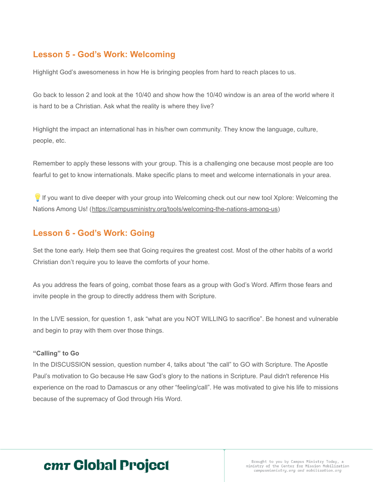### **Lesson 5 - God's Work: Welcoming**

Highlight God's awesomeness in how He is bringing peoples from hard to reach places to us.

Go back to lesson 2 and look at the 10/40 and show how the 10/40 window is an area of the world where it is hard to be a Christian. Ask what the reality is where they live?

Highlight the impact an international has in his/her own community. They know the language, culture, people, etc.

Remember to apply these lessons with your group. This is a challenging one because most people are too fearful to get to know internationals. Make specific plans to meet and welcome internationals in your area.

If you want to dive deeper with your group into Welcoming check out our new tool Xplore: Welcoming the Nations Among Us! (<https://campusministry.org/tools/welcoming-the-nations-among-us>)

### **Lesson 6 - God's Work: Going**

Set the tone early. Help them see that Going requires the greatest cost. Most of the other habits of a world Christian don't require you to leave the comforts of your home.

As you address the fears of going, combat those fears as a group with God's Word. Affirm those fears and invite people in the group to directly address them with Scripture.

In the LIVE session, for question 1, ask "what are you NOT WILLING to sacrifice". Be honest and vulnerable and begin to pray with them over those things.

#### **"Calling" to Go**

In the DISCUSSION session, question number 4, talks about "the call" to GO with Scripture. The Apostle Paul's motivation to Go because He saw God's glory to the nations in Scripture. Paul didn't reference His experience on the road to Damascus or any other "feeling/call". He was motivated to give his life to missions because of the supremacy of God through His Word.

## cmr Global Project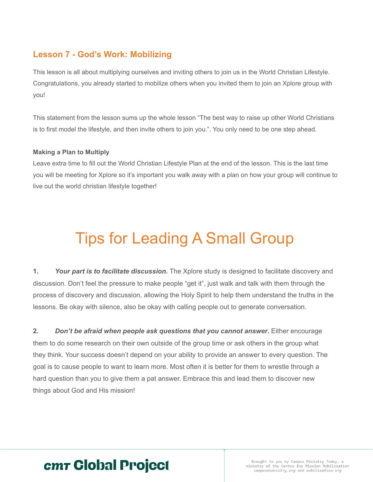## **Lesson 7 - God's Work: Mobilizing**

This lesson is all about multiplying ourselves and inviting others to join us in the World Christian Lifestyle. Congratulations, you already started to mobilize others when you invited them to join an Xplore group with you!

This statement from the lesson sums up the whole lesson "The best way to raise up other World Christians is to first model the lifestyle, and then invite others to join you.". You only need to be one step ahead.

#### **Making a Plan to Multiply**

Leave extra time to fill out the World Christian Lifestyle Plan at the end of the lesson. This is the last time you will be meeting for Xplore so it's important you walk away with a plan on how your group will continue to live out the world christian lifestyle together!

# Tips for Leading A Small Group

**1.** *Your part is to facilitate discussion***.** The Xplore study is designed to facilitate discovery and discussion. Don't feel the pressure to make people "get it", just walk and talk with them through the process of discovery and discussion, allowing the Holy Spirit to help them understand the truths in the lessons. Be okay with silence, also be okay with calling people out to generate conversation.

**2.** *Don't be afraid when people ask questions that you cannot answer***.** Either encourage them to do some research on their own outside of the group time or ask others in the group what they think. Your success doesn't depend on your ability to provide an answer to every question. The goal is to cause people to want to learn more. Most often it is better for them to wrestle through a hard question than you to give them a pat answer. Embrace this and lead them to discover new things about God and His mission!

## cmr Global Project